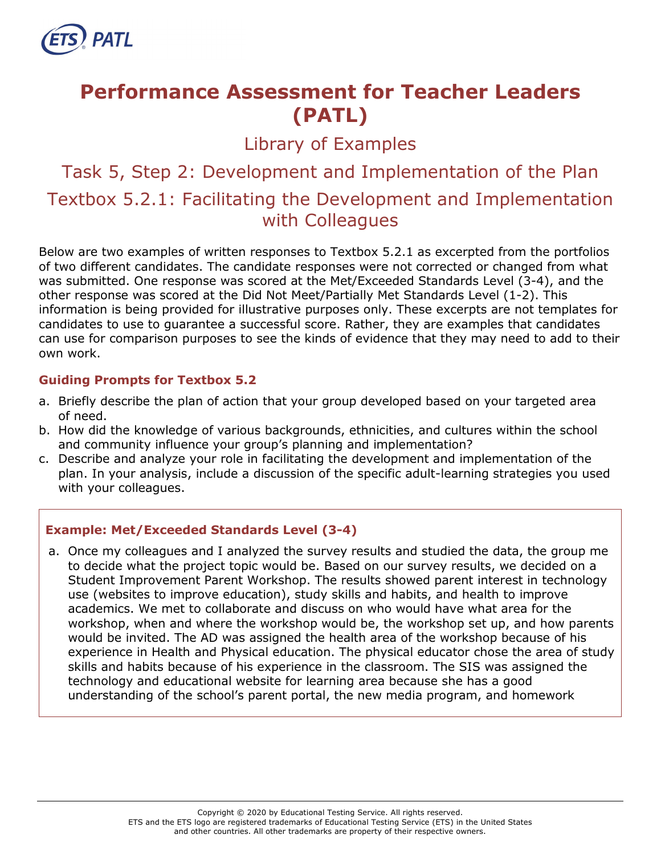

# **Performance Assessment for Teacher Leaders (PATL)**

Library of Examples

Task 5, Step 2: Development and Implementation of the Plan Textbox 5.2.1: Facilitating the Development and Implementation with Colleagues

Below are two examples of written responses to Textbox 5.2.1 as excerpted from the portfolios of two different candidates. The candidate responses were not corrected or changed from what was submitted. One response was scored at the Met/Exceeded Standards Level (3-4), and the other response was scored at the Did Not Meet/Partially Met Standards Level (1-2). This information is being provided for illustrative purposes only. These excerpts are not templates for candidates to use to guarantee a successful score. Rather, they are examples that candidates can use for comparison purposes to see the kinds of evidence that they may need to add to their own work.

### **Guiding Prompts for Textbox 5.2**

- a. Briefly describe the plan of action that your group developed based on your targeted area of need.
- b. How did the knowledge of various backgrounds, ethnicities, and cultures within the school and community influence your group's planning and implementation?
- c. Describe and analyze your role in facilitating the development and implementation of the plan. In your analysis, include a discussion of the specific adult-learning strategies you used with your colleagues.

### **Example: Met/Exceeded Standards Level (3-4)**

a. Once my colleagues and I analyzed the survey results and studied the data, the group me to decide what the project topic would be. Based on our survey results, we decided on a Student Improvement Parent Workshop. The results showed parent interest in technology use (websites to improve education), study skills and habits, and health to improve academics. We met to collaborate and discuss on who would have what area for the workshop, when and where the workshop would be, the workshop set up, and how parents would be invited. The AD was assigned the health area of the workshop because of his experience in Health and Physical education. The physical educator chose the area of study skills and habits because of his experience in the classroom. The SIS was assigned the technology and educational website for learning area because she has a good understanding of the school's parent portal, the new media program, and homework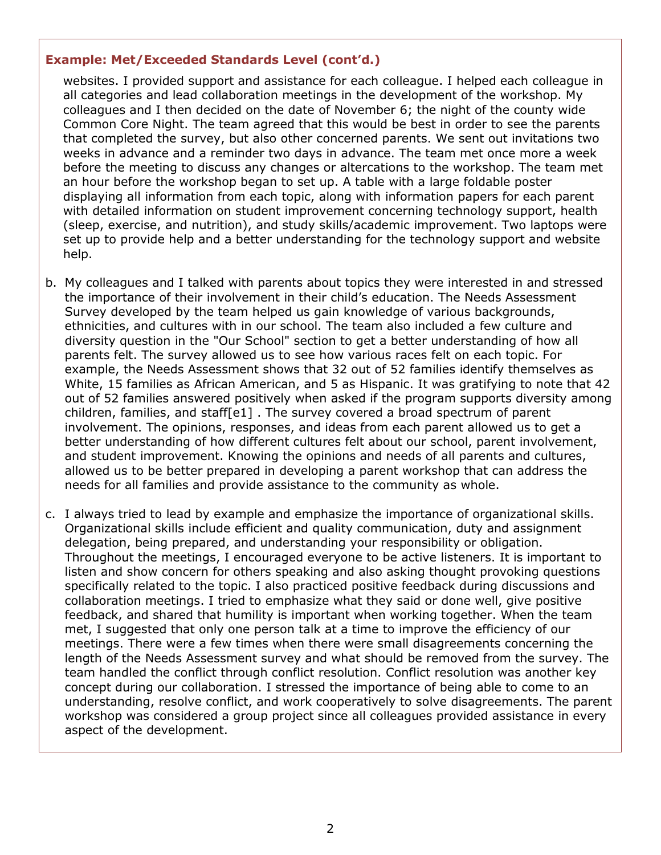#### **Example: Met/Exceeded Standards Level (cont'd.)**

websites. I provided support and assistance for each colleague. I helped each colleague in all categories and lead collaboration meetings in the development of the workshop. My colleagues and I then decided on the date of November 6; the night of the county wide Common Core Night. The team agreed that this would be best in order to see the parents that completed the survey, but also other concerned parents. We sent out invitations two weeks in advance and a reminder two days in advance. The team met once more a week before the meeting to discuss any changes or altercations to the workshop. The team met an hour before the workshop began to set up. A table with a large foldable poster displaying all information from each topic, along with information papers for each parent with detailed information on student improvement concerning technology support, health (sleep, exercise, and nutrition), and study skills/academic improvement. Two laptops were set up to provide help and a better understanding for the technology support and website help.

- b. My colleagues and I talked with parents about topics they were interested in and stressed the importance of their involvement in their child's education. The Needs Assessment Survey developed by the team helped us gain knowledge of various backgrounds, ethnicities, and cultures with in our school. The team also included a few culture and diversity question in the "Our School" section to get a better understanding of how all parents felt. The survey allowed us to see how various races felt on each topic. For example, the Needs Assessment shows that 32 out of 52 families identify themselves as White, 15 families as African American, and 5 as Hispanic. It was gratifying to note that 42 out of 52 families answered positively when asked if the program supports diversity among children, families, and staff[e1] . The survey covered a broad spectrum of parent involvement. The opinions, responses, and ideas from each parent allowed us to get a better understanding of how different cultures felt about our school, parent involvement, and student improvement. Knowing the opinions and needs of all parents and cultures, allowed us to be better prepared in developing a parent workshop that can address the needs for all families and provide assistance to the community as whole.
- c. I always tried to lead by example and emphasize the importance of organizational skills. Organizational skills include efficient and quality communication, duty and assignment delegation, being prepared, and understanding your responsibility or obligation. Throughout the meetings, I encouraged everyone to be active listeners. It is important to listen and show concern for others speaking and also asking thought provoking questions specifically related to the topic. I also practiced positive feedback during discussions and collaboration meetings. I tried to emphasize what they said or done well, give positive feedback, and shared that humility is important when working together. When the team met, I suggested that only one person talk at a time to improve the efficiency of our meetings. There were a few times when there were small disagreements concerning the length of the Needs Assessment survey and what should be removed from the survey. The team handled the conflict through conflict resolution. Conflict resolution was another key concept during our collaboration. I stressed the importance of being able to come to an understanding, resolve conflict, and work cooperatively to solve disagreements. The parent workshop was considered a group project since all colleagues provided assistance in every aspect of the development.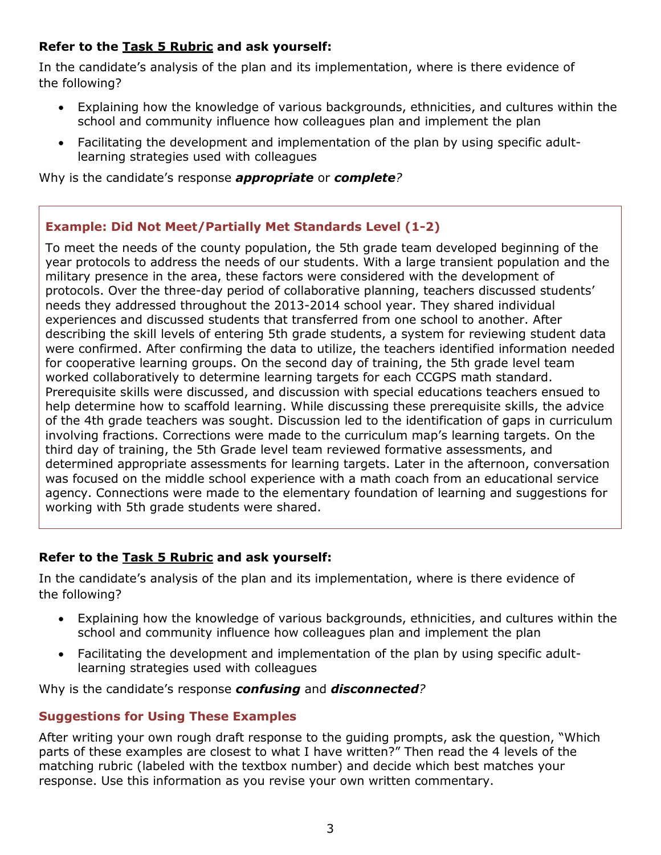## **Refer to the [Task 5](http://gace.ets.org/s/pdf/gace_teacher_leadership_assessment_task_5_rubric.pdf) Rubric and ask yourself:**

In the candidate's analysis of the plan and its implementation, where is there evidence of the following?

- Explaining how the knowledge of various backgrounds, ethnicities, and cultures within the school and community influence how colleagues plan and implement the plan
- Facilitating the development and implementation of the plan by using specific adultlearning strategies used with colleagues

Why is the candidate's response *appropriate* or *complete?*

## **Example: Did Not Meet/Partially Met Standards Level (1-2)**

To meet the needs of the county population, the 5th grade team developed beginning of the year protocols to address the needs of our students. With a large transient population and the military presence in the area, these factors were considered with the development of protocols. Over the three-day period of collaborative planning, teachers discussed students' needs they addressed throughout the 2013-2014 school year. They shared individual experiences and discussed students that transferred from one school to another. After describing the skill levels of entering 5th grade students, a system for reviewing student data were confirmed. After confirming the data to utilize, the teachers identified information needed for cooperative learning groups. On the second day of training, the 5th grade level team worked collaboratively to determine learning targets for each CCGPS math standard. Prerequisite skills were discussed, and discussion with special educations teachers ensued to help determine how to scaffold learning. While discussing these prerequisite skills, the advice of the 4th grade teachers was sought. Discussion led to the identification of gaps in curriculum involving fractions. Corrections were made to the curriculum map's learning targets. On the third day of training, the 5th Grade level team reviewed formative assessments, and determined appropriate assessments for learning targets. Later in the afternoon, conversation was focused on the middle school experience with a math coach from an educational service agency. Connections were made to the elementary foundation of learning and suggestions for working with 5th grade students were shared.

## **Refer to the [Task 5](http://gace.ets.org/s/pdf/gace_teacher_leadership_assessment_task_5_rubric.pdf) Rubric and ask yourself:**

In the candidate's analysis of the plan and its implementation, where is there evidence of the following?

- Explaining how the knowledge of various backgrounds, ethnicities, and cultures within the school and community influence how colleagues plan and implement the plan
- Facilitating the development and implementation of the plan by using specific adultlearning strategies used with colleagues

Why is the candidate's response *confusing* and *disconnected?*

# **Suggestions for Using These Examples**

After writing your own rough draft response to the guiding prompts, ask the question, "Which parts of these examples are closest to what I have written?" Then read the 4 levels of the matching rubric (labeled with the textbox number) and decide which best matches your response. Use this information as you revise your own written commentary.